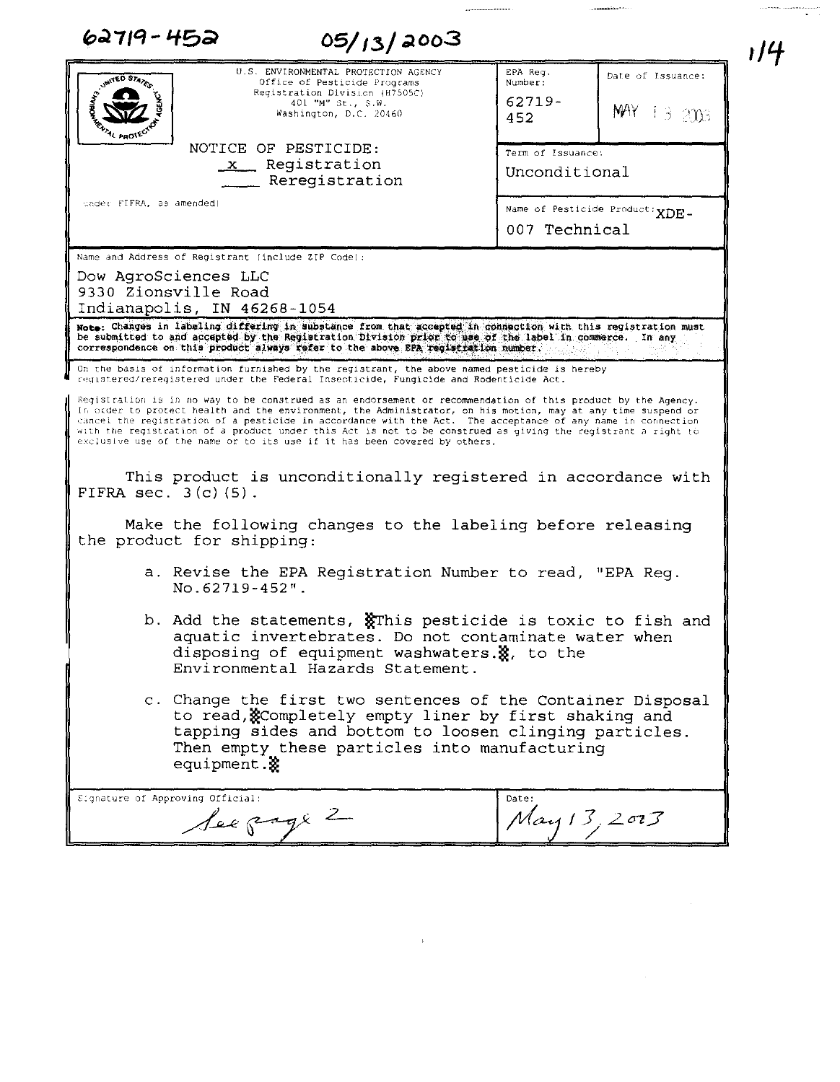| 62719-452<br>05/13/2003                                                                                                                                                                                                                                                                                                                                                                                                                                                                                                                                                                                                                                                                                                                                                                                                      |                                                                                  | ı/4 |
|------------------------------------------------------------------------------------------------------------------------------------------------------------------------------------------------------------------------------------------------------------------------------------------------------------------------------------------------------------------------------------------------------------------------------------------------------------------------------------------------------------------------------------------------------------------------------------------------------------------------------------------------------------------------------------------------------------------------------------------------------------------------------------------------------------------------------|----------------------------------------------------------------------------------|-----|
| U.S. ENVIRONMENTAL PROTECTION AGENCY<br><b>MITED STATES</b><br>Office of Pesticide Programs<br>Registration Division (H7505C)<br>401 "M" St., S.W.<br>Washington, D.C. 20460<br><sup>4</sup> PRO <sup>TE</sup>                                                                                                                                                                                                                                                                                                                                                                                                                                                                                                                                                                                                               | EPA Req.<br>Date of Issuance:<br>Number:<br>$62719 -$<br>$MAY + 3 = 2003$<br>452 |     |
| NOTICE OF PESTICIDE:<br>x Registration<br>_ Reregistration                                                                                                                                                                                                                                                                                                                                                                                                                                                                                                                                                                                                                                                                                                                                                                   | Term of Issuance:<br>Unconditional                                               |     |
| under FIFRA, as amended)                                                                                                                                                                                                                                                                                                                                                                                                                                                                                                                                                                                                                                                                                                                                                                                                     | Name of Pesticide Product: XDE-<br>007 Technical                                 |     |
| Dow AgroSciences LLC<br>9330 Zionsville Road<br>Indianapolis, IN 46268-1054<br>Note: Changes in labeling differing in substance from that accepted in connection with this registration must<br>be submitted to and accepted by the Registration Division prior to use of the label in commerce.<br>correspondence on this product always refer to the above EPA registration number.                                                                                                                                                                                                                                                                                                                                                                                                                                        | In any                                                                           |     |
| On the basis of information furnished by the registrant, the above named pesticide is hereby<br>registered/reregistered under the Federal Insecticide, Fungicide and Rodenticide Act.<br>Registration is in no way to be construed as an endorsement or recommendation of this product by the Agency.<br>In order to protect health and the environment, the Administrator, on his motion, may at any time suspend or<br>cancel the registration of a pesticide in accordance with the Act. The acceptance of any name in connection<br>with the registration of a product under this Act is not to be construed as giving the registrant a right to<br>exclusive use of the name or to its use if it has been covered by others.<br>This product is unconditionally registered in accordance with<br>FIFRA sec. $3(c)$ (5). |                                                                                  |     |
| Make the following changes to the labeling before releasing<br>the product for shipping:                                                                                                                                                                                                                                                                                                                                                                                                                                                                                                                                                                                                                                                                                                                                     |                                                                                  |     |
| a. Revise the EPA Registration Number to read, "EPA Req.<br>No.62719-452".                                                                                                                                                                                                                                                                                                                                                                                                                                                                                                                                                                                                                                                                                                                                                   |                                                                                  |     |
| b. Add the statements, $\frac{1}{2}$ This pesticide is toxic to fish and<br>aquatic invertebrates. Do not contaminate water when<br>disposing of equipment washwaters. &, to the<br>Environmental Hazards Statement.                                                                                                                                                                                                                                                                                                                                                                                                                                                                                                                                                                                                         |                                                                                  |     |
| c. Change the first two sentences of the Container Disposal<br>to read, Completely empty liner by first shaking and<br>tapping sides and bottom to loosen clinging particles.<br>Then empty these particles into manufacturing<br>equipment.&                                                                                                                                                                                                                                                                                                                                                                                                                                                                                                                                                                                |                                                                                  |     |
| Signature of Approving Official:<br>See page 2                                                                                                                                                                                                                                                                                                                                                                                                                                                                                                                                                                                                                                                                                                                                                                               | Date:<br>May 13, 2003                                                            |     |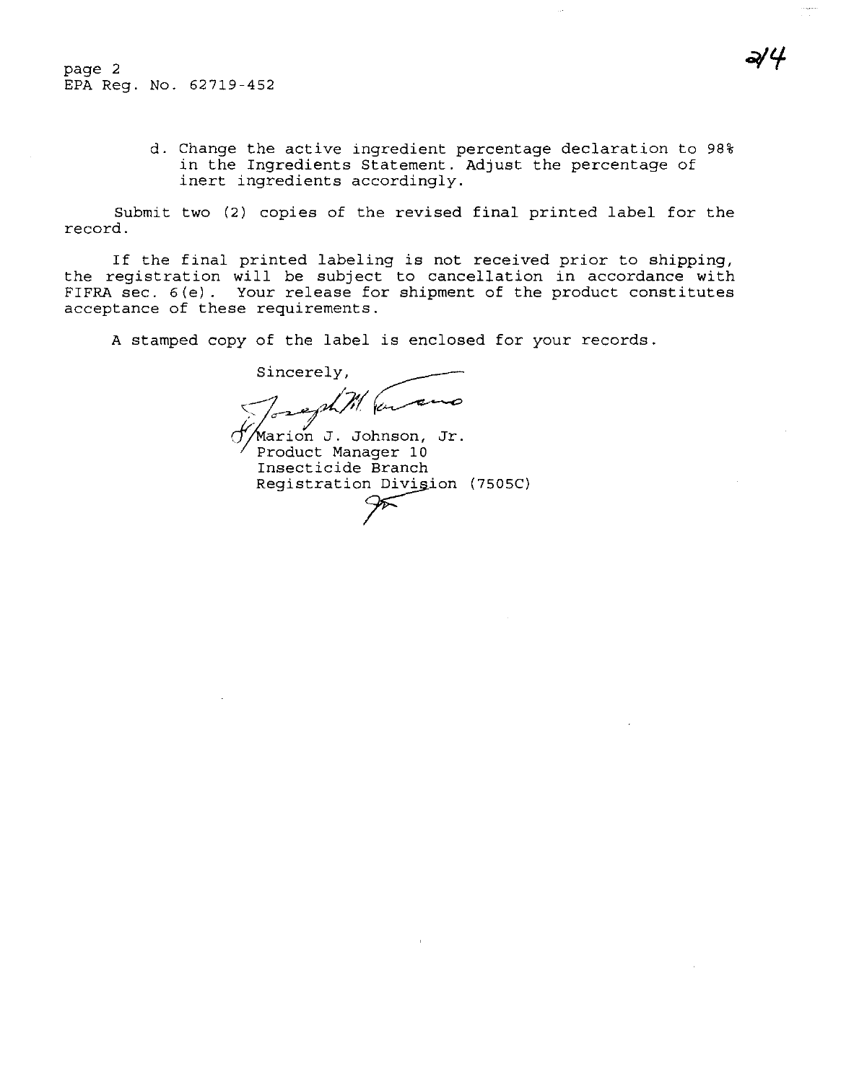page 2 EPA Reg. No. 62719-452

> d. Change the active ingredient percentage declaration to 98% in the Ingredients Statement. Adjust the percentage of inert ingredients accordingly.

Submit two (2) copies of the revised final printed label for the record.

If the final printed labeling is not received prior to shipping, the registration will be subject to cancellation in accordance with FIFRA sec. 6(e). Your release for shipment of the product constitutes acceptance of these requirements.

A stamped copy of the label is enclosed for your records.

Sincerely, reph 71 (on and

 $\sqrt{\frac{7}{2}}$  J. Johnson, Jr. Product Manager 10 Insecticide Branch Registration Divigion (7505C)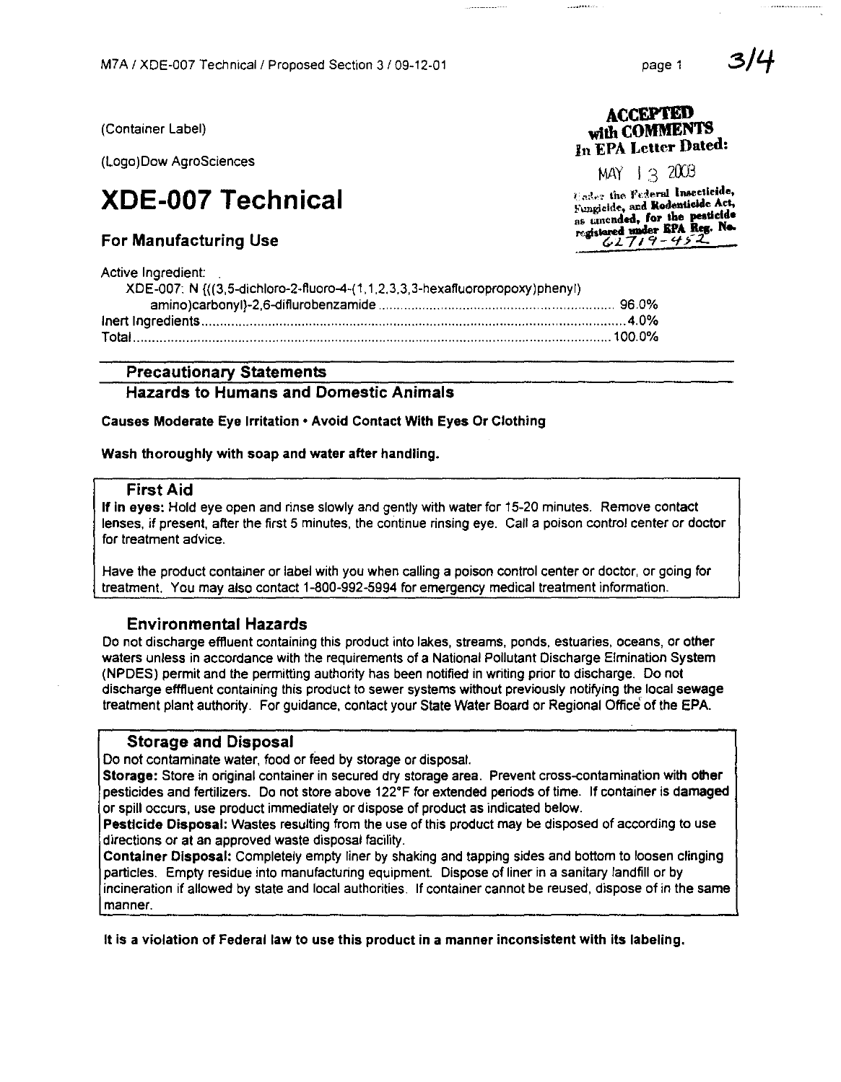(Container Label)

(Logo)Dow AgroSciences

# **XDE-007 Technical**

# **For Manufacturing Use**

**Active Ingredient:** 

| XDE-007: N {((3,5-dichloro-2-fluoro-4-(1,1,2,3,3,3-hexafluoropropoxy)phenyl) |  |
|------------------------------------------------------------------------------|--|
|                                                                              |  |
|                                                                              |  |
|                                                                              |  |

# **Precautionary Statements**

# **Hazards to Humans and Domestic Animals**

Causes Moderate Eye Irritation . Avoid Contact With Eyes Or Clothing

Wash thoroughly with soap and water after handling.

#### **First Aid**

If in eyes; Hold eye open and rinse slowly and gently with water for 15-20 minutes. Remove contact lenses, if present, after the first 5 minutes, the continue rinsing eye. Call a poison control center or doctor for treatment advice.

Have the product container or label with you when calling a poison control center or doctor, or going for treatment. You may also contact 1-800-992-5994 for emergency medical treatment information.

# **Environmental Hazards**

Do not discharge effluent containing this product into lakes, streams, ponds, estuaries, oceans, or other waters unless in accordance with the requirements of a National Pollutant Discharge Elmination System (NPDES) permit and the permitting authority has been notified in writing prior to discharge. Do not discharge efffluent containing this product to sewer systems without previously notifying the local sewage treatment plant authority. For guidance, contact your State Water Board or Regional Office of the EPA.

#### **Storage and Disposal**

Do not contaminate water, food or feed by storage or disposal.

Storage: Store in original container in secured dry storage area. Prevent cross-contamination with other pesticides and fertilizers. Do not store above 122°F for extended periods of time. If container is damaged or spill occurs, use product immediately or dispose of product as indicated below.

Pesticide Disposal: Wastes resulting from the use of this product may be disposed of according to use directions or at an approved waste disposal facility.

Container Disposal: Completely empty liner by shaking and tapping sides and bottom to loosen clinging particles. Empty residue into manufacturing equipment. Dispose of liner in a sanitary landfill or by incineration if allowed by state and local authorities. If container cannot be reused, dispose of in the same manner.

It is a violation of Federal law to use this product in a manner inconsistent with its labeling.

3/4

MAY  $1.3$  2003

Uader the Federal Insecticide, Fungicide, and Rodenticide Act, as amended, for the pesticide<br>registered under EPA Reg. No.<br> $62719 - 452$